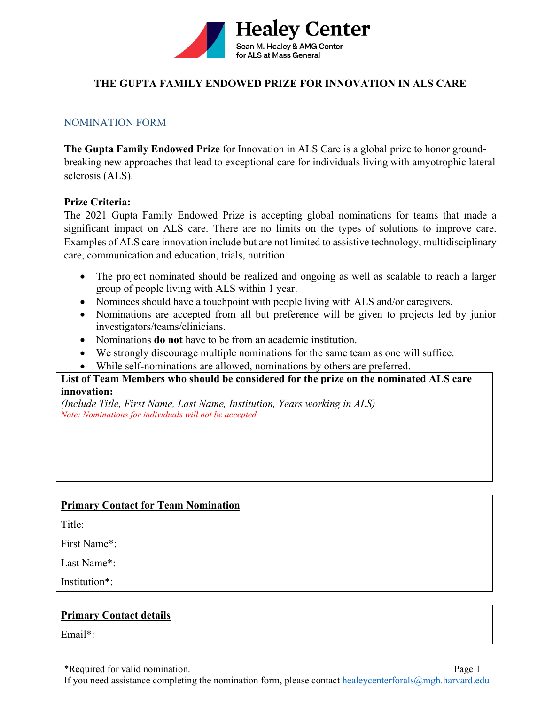

### **THE GUPTA FAMILY ENDOWED PRIZE FOR INNOVATION IN ALS CARE**

### NOMINATION FORM

**The Gupta Family Endowed Prize** for Innovation in ALS Care is a global prize to honor groundbreaking new approaches that lead to exceptional care for individuals living with amyotrophic lateral sclerosis (ALS).

### **Prize Criteria:**

The 2021 Gupta Family Endowed Prize is accepting global nominations for teams that made a significant impact on ALS care. There are no limits on the types of solutions to improve care. Examples of ALS care innovation include but are not limited to assistive technology, multidisciplinary care, communication and education, trials, nutrition.

- The project nominated should be realized and ongoing as well as scalable to reach a larger group of people living with ALS within 1 year.
- Nominees should have a touchpoint with people living with ALS and/or caregivers.
- Nominations are accepted from all but preference will be given to projects led by junior investigators/teams/clinicians.
- Nominations **do not** have to be from an academic institution.
- We strongly discourage multiple nominations for the same team as one will suffice.
- While self-nominations are allowed, nominations by others are preferred.

### **List of Team Members who should be considered for the prize on the nominated ALS care innovation:**

*(Include Title, First Name, Last Name, Institution, Years working in ALS) Note: Nominations for individuals will not be accepted*

### **Primary Contact for Team Nomination**

Title:

First Name\*:

Last Name\*:

Institution\*:

### **Primary Contact details**

Email\*:

\*Required for valid nomination. Page 1

If you need assistance completing the nomination form, please contact [healeycenterforals@mgh.harvard.edu](mailto:healeycenterforals@mgh.harvard.edu)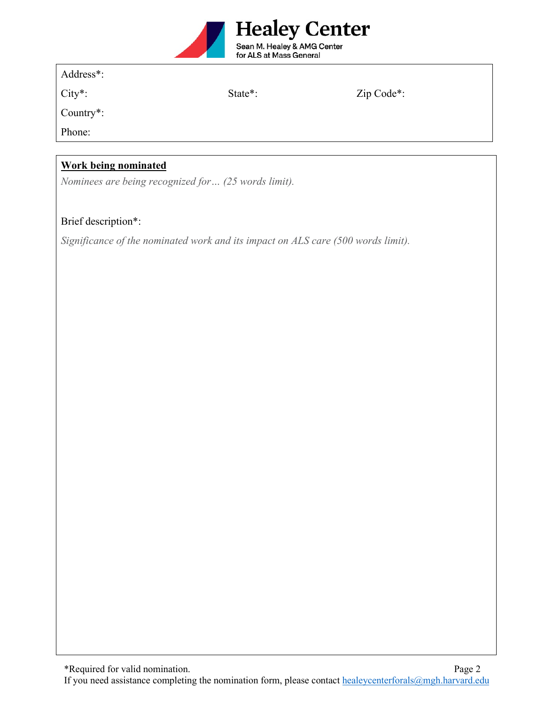

Country\*:

City\*: State\*: Zip Code\*:

Phone:

# **Work being nominated**

*Nominees are being recognized for… (25 words limit).*

## Brief description\*:

*Significance of the nominated work and its impact on ALS care (500 words limit).*